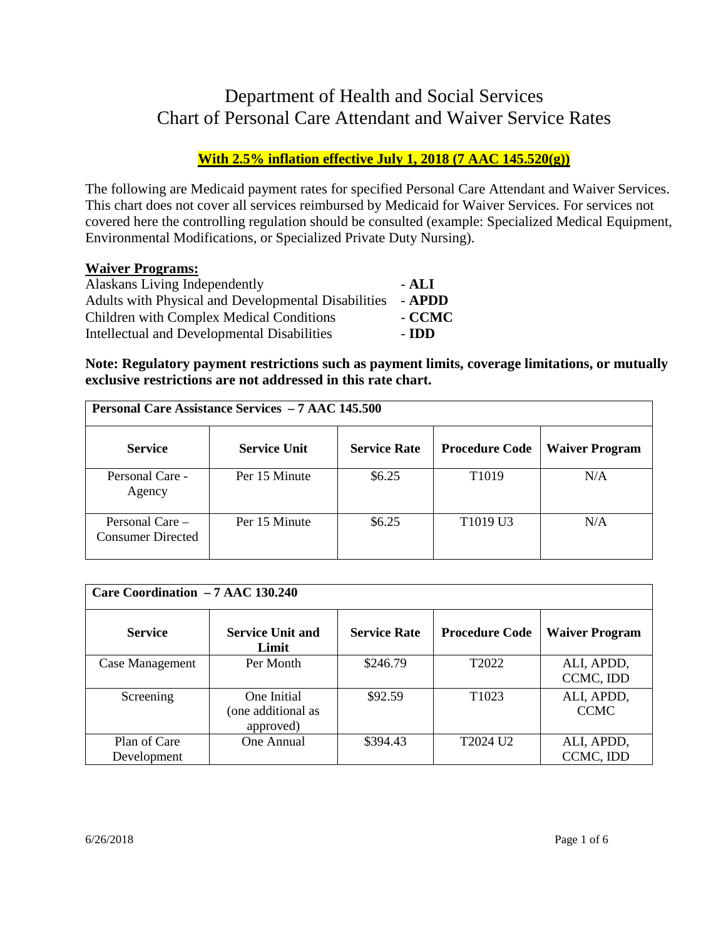# Department of Health and Social Services Chart of Personal Care Attendant and Waiver Service Rates

# **With 2.5% inflation effective July 1, 2018 (7 AAC 145.520(g))**

The following are Medicaid payment rates for specified Personal Care Attendant and Waiver Services. This chart does not cover all services reimbursed by Medicaid for Waiver Services. For services not covered here the controlling regulation should be consulted (example: Specialized Medical Equipment, Environmental Modifications, or Specialized Private Duty Nursing).

### **Waiver Programs:**

| Alaskans Living Independently                       | - ALI  |
|-----------------------------------------------------|--------|
| Adults with Physical and Developmental Disabilities | - APDD |
| Children with Complex Medical Conditions            | - CCMC |
| Intellectual and Developmental Disabilities         | - IDD  |

**Note: Regulatory payment restrictions such as payment limits, coverage limitations, or mutually exclusive restrictions are not addressed in this rate chart.** 

| <b>Personal Care Assistance Services - 7 AAC 145.500</b> |                     |                     |                                  |                       |
|----------------------------------------------------------|---------------------|---------------------|----------------------------------|-----------------------|
| <b>Service</b>                                           | <b>Service Unit</b> | <b>Service Rate</b> | <b>Procedure Code</b>            | <b>Waiver Program</b> |
| Personal Care -<br>Agency                                | Per 15 Minute       | \$6.25              | T <sub>1019</sub>                | N/A                   |
| Personal Care $-$<br><b>Consumer Directed</b>            | Per 15 Minute       | \$6.25              | T <sub>1019</sub> U <sub>3</sub> | N/A                   |

| Care Coordination - 7 AAC 130.240 |                                                |                     |                       |                           |
|-----------------------------------|------------------------------------------------|---------------------|-----------------------|---------------------------|
| <b>Service</b>                    | <b>Service Unit and</b><br>Limit               | <b>Service Rate</b> | <b>Procedure Code</b> | <b>Waiver Program</b>     |
| Case Management                   | Per Month                                      | \$246.79            | T <sub>2022</sub>     | ALI, APDD,<br>CCMC, IDD   |
| Screening                         | One Initial<br>(one additional as<br>approved) | \$92.59             | T <sub>1023</sub>     | ALI, APDD,<br><b>CCMC</b> |
| Plan of Care<br>Development       | One Annual                                     | \$394.43            | T2024 U2              | ALI, APDD,<br>CCMC, IDD   |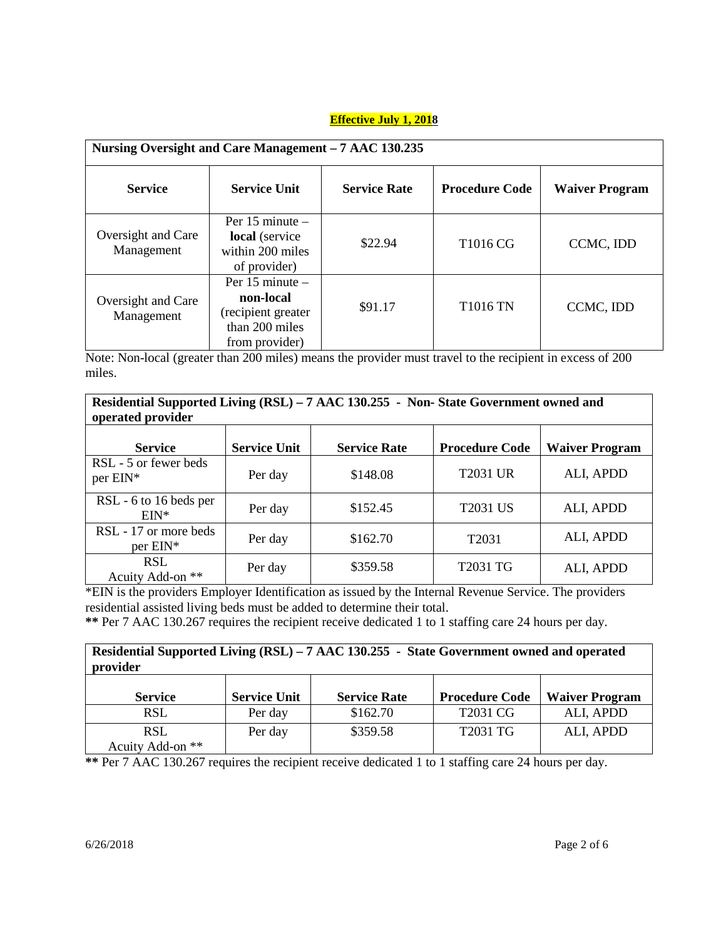| Nursing Oversight and Care Management – 7 AAC 130.235 |                                                                                            |                     |                       |                       |
|-------------------------------------------------------|--------------------------------------------------------------------------------------------|---------------------|-----------------------|-----------------------|
| <b>Service</b>                                        | <b>Service Unit</b>                                                                        | <b>Service Rate</b> | <b>Procedure Code</b> | <b>Waiver Program</b> |
| Oversight and Care<br>Management                      | Per $15$ minute $-$<br>local (service<br>within 200 miles<br>of provider)                  | \$22.94             | T <sub>1016</sub> CG  | CCMC, IDD             |
| Oversight and Care<br>Management                      | Per $15$ minute $-$<br>non-local<br>(recipient greater<br>than 200 miles<br>from provider) | \$91.17             | <b>T1016 TN</b>       | CCMC, IDD             |

Note: Non-local (greater than 200 miles) means the provider must travel to the recipient in excess of 200 miles.

| Residential Supported Living (RSL) – 7 AAC 130.255 - Non-State Government owned and<br>operated provider |                     |                     |                       |                       |
|----------------------------------------------------------------------------------------------------------|---------------------|---------------------|-----------------------|-----------------------|
| <b>Service</b>                                                                                           | <b>Service Unit</b> | <b>Service Rate</b> | <b>Procedure Code</b> | <b>Waiver Program</b> |
| RSL - 5 or fewer beds<br>per EIN*                                                                        | Per day             | \$148.08            | <b>T2031 UR</b>       | ALI, APDD             |
| RSL - 6 to 16 beds per<br>$EIN^*$                                                                        | Per day             | \$152.45            | T2031 US              | ALI, APDD             |
| RSL - 17 or more beds<br>per EIN*                                                                        | Per day             | \$162.70            | T <sub>2031</sub>     | ALI, APDD             |
| <b>RSL</b><br>Acuity Add-on **                                                                           | Per day             | \$359.58            | T2031 TG              | ALI, APDD             |

\*EIN is the providers Employer Identification as issued by the Internal Revenue Service. The providers residential assisted living beds must be added to determine their total.

**\*\*** Per 7 AAC 130.267 requires the recipient receive dedicated 1 to 1 staffing care 24 hours per day.

| Residential Supported Living (RSL) – 7 AAC 130.255 - State Government owned and operated<br>provider |                     |                     |                       |                       |
|------------------------------------------------------------------------------------------------------|---------------------|---------------------|-----------------------|-----------------------|
| <b>Service</b>                                                                                       | <b>Service Unit</b> | <b>Service Rate</b> | <b>Procedure Code</b> | <b>Waiver Program</b> |
| <b>RSL</b>                                                                                           | Per day             | \$162.70            | T2031 CG              | ALI, APDD             |
| <b>RSL</b><br>Acuity Add-on **                                                                       | Per day             | \$359.58            | T2031 TG              | ALI, APDD             |

**\*\*** Per 7 AAC 130.267 requires the recipient receive dedicated 1 to 1 staffing care 24 hours per day.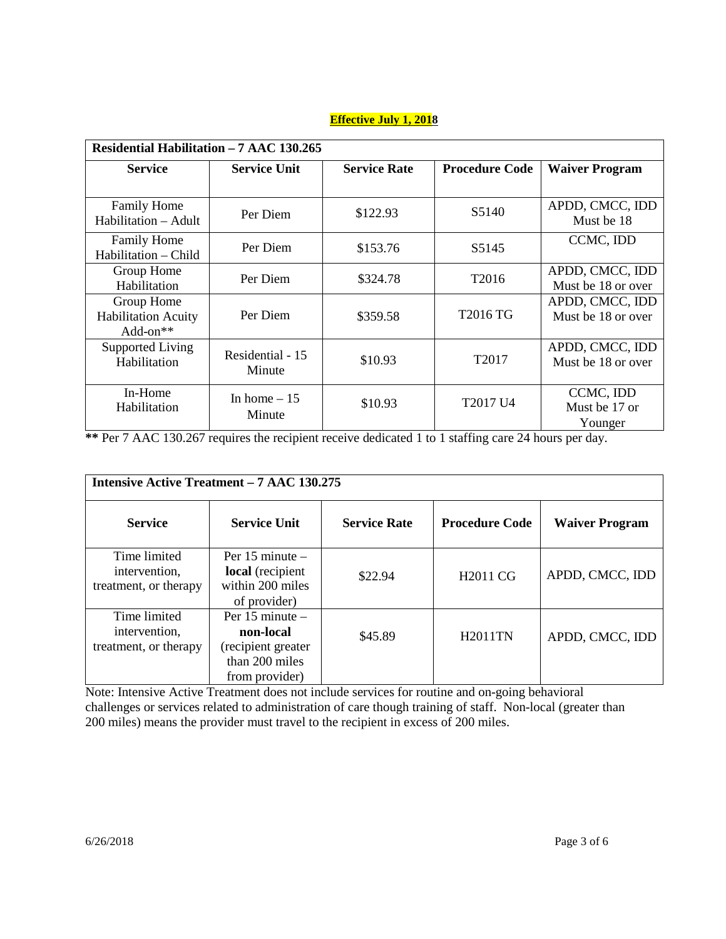| Residential Habilitation - 7 AAC 130.265               |                            |                     |                       |                                       |
|--------------------------------------------------------|----------------------------|---------------------|-----------------------|---------------------------------------|
| <b>Service</b>                                         | <b>Service Unit</b>        | <b>Service Rate</b> | <b>Procedure Code</b> | <b>Waiver Program</b>                 |
|                                                        |                            |                     |                       |                                       |
| <b>Family Home</b><br>Habilitation - Adult             | Per Diem                   | \$122.93            | S5140                 | APDD, CMCC, IDD<br>Must be 18         |
| <b>Family Home</b><br>Habilitation - Child             | Per Diem                   | \$153.76            | S5145                 | CCMC, IDD                             |
| Group Home<br>Habilitation                             | Per Diem                   | \$324.78            | T <sub>2016</sub>     | APDD, CMCC, IDD<br>Must be 18 or over |
| Group Home<br><b>Habilitation Acuity</b><br>$Add-on**$ | Per Diem                   | \$359.58            | T2016 TG              | APDD, CMCC, IDD<br>Must be 18 or over |
| <b>Supported Living</b><br>Habilitation                | Residential - 15<br>Minute | \$10.93             | T <sub>2017</sub>     | APDD, CMCC, IDD<br>Must be 18 or over |
| In-Home<br>Habilitation                                | In home $-15$<br>Minute    | \$10.93             | T2017 U4              | CCMC, IDD<br>Must be 17 or<br>Younger |

**\*\*** Per 7 AAC 130.267 requires the recipient receive dedicated 1 to 1 staffing care 24 hours per day.

| <b>Intensive Active Treatment – 7 AAC 130.275</b>      |                                                                                            |                     |                       |                       |
|--------------------------------------------------------|--------------------------------------------------------------------------------------------|---------------------|-----------------------|-----------------------|
| <b>Service</b>                                         | <b>Service Unit</b>                                                                        | <b>Service Rate</b> | <b>Procedure Code</b> | <b>Waiver Program</b> |
| Time limited<br>intervention,<br>treatment, or therapy | Per $15$ minute $-$<br>local (recipient<br>within 200 miles<br>of provider)                | \$22.94             | H <sub>2011</sub> CG  | APDD, CMCC, IDD       |
| Time limited<br>intervention,<br>treatment, or therapy | Per $15$ minute $-$<br>non-local<br>(recipient greater<br>than 200 miles<br>from provider) | \$45.89             | <b>H2011TN</b>        | APDD, CMCC, IDD       |

Note: Intensive Active Treatment does not include services for routine and on-going behavioral challenges or services related to administration of care though training of staff. Non-local (greater than 200 miles) means the provider must travel to the recipient in excess of 200 miles.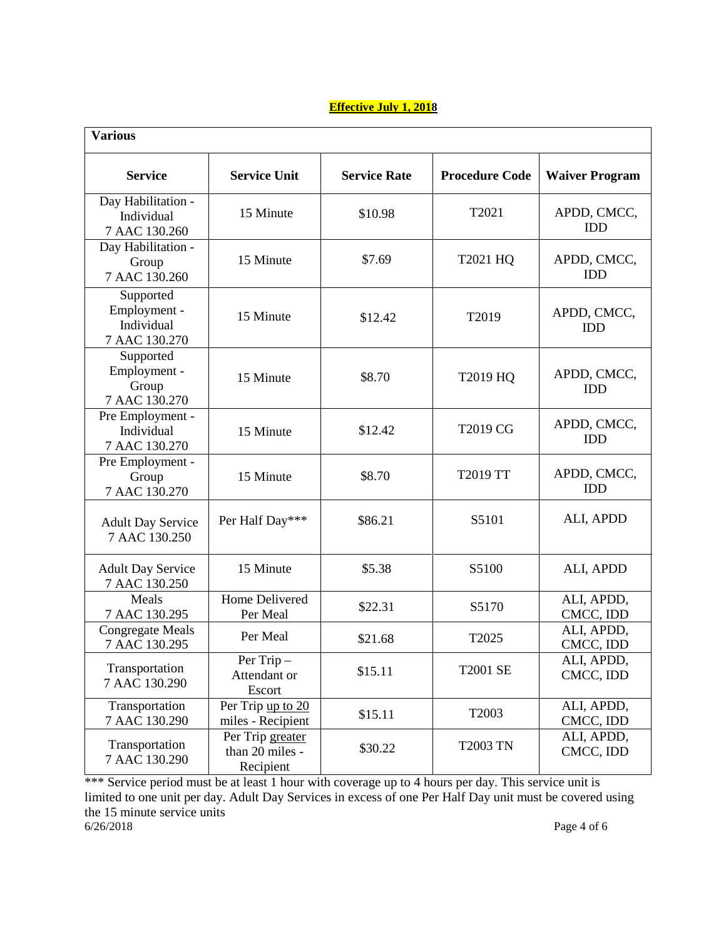| <b>Various</b>                                           |                                                  |                     |                       |                           |
|----------------------------------------------------------|--------------------------------------------------|---------------------|-----------------------|---------------------------|
| <b>Service</b>                                           | <b>Service Unit</b>                              | <b>Service Rate</b> | <b>Procedure Code</b> | <b>Waiver Program</b>     |
| Day Habilitation -<br>Individual<br>7 AAC 130.260        | 15 Minute                                        | \$10.98             | T2021                 | APDD, CMCC,<br><b>IDD</b> |
| Day Habilitation -<br>Group<br>7 AAC 130.260             | 15 Minute                                        | \$7.69              | T2021 HQ              | APDD, CMCC,<br><b>IDD</b> |
| Supported<br>Employment -<br>Individual<br>7 AAC 130.270 | 15 Minute                                        | \$12.42             | T2019                 | APDD, CMCC,<br><b>IDD</b> |
| Supported<br>Employment -<br>Group<br>7 AAC 130.270      | 15 Minute                                        | \$8.70              | T2019 HQ              | APDD, CMCC,<br><b>IDD</b> |
| Pre Employment -<br>Individual<br>7 AAC 130.270          | 15 Minute                                        | \$12.42             | T2019 CG              | APDD, CMCC,<br><b>IDD</b> |
| Pre Employment -<br>Group<br>7 AAC 130.270               | 15 Minute                                        | \$8.70              | T2019 TT              | APDD, CMCC,<br><b>IDD</b> |
| <b>Adult Day Service</b><br>7 AAC 130.250                | Per Half Day***                                  | \$86.21             | S5101                 | ALI, APDD                 |
| <b>Adult Day Service</b><br>7 AAC 130.250                | 15 Minute                                        | \$5.38              | S5100                 | ALI, APDD                 |
| Meals<br>7 AAC 130.295                                   | Home Delivered<br>Per Meal                       | \$22.31             | S5170                 | ALI, APDD,<br>CMCC, IDD   |
| <b>Congregate Meals</b><br>7 AAC 130.295                 | Per Meal                                         | \$21.68             | T2025                 | ALI, APDD,<br>CMCC, IDD   |
| Transportation<br>7 AAC 130.290                          | Per Trip -<br>Attendant or<br>Escort             | \$15.11             | <b>T2001 SE</b>       | ALI, APDD,<br>CMCC, IDD   |
| Transportation<br>7 AAC 130.290                          | Per Trip up to 20<br>miles - Recipient           | \$15.11             | T2003                 | ALI, APDD,<br>CMCC, IDD   |
| Transportation<br>7 AAC 130.290                          | Per Trip greater<br>than 20 miles -<br>Recipient | \$30.22             | <b>T2003 TN</b>       | ALI, APDD,<br>CMCC, IDD   |

\*\*\* Service period must be at least 1 hour with coverage up to 4 hours per day. This service unit is limited to one unit per day. Adult Day Services in excess of one Per Half Day unit must be covered using the 15 minute service units  $6/26/2018$ Page 4 of 6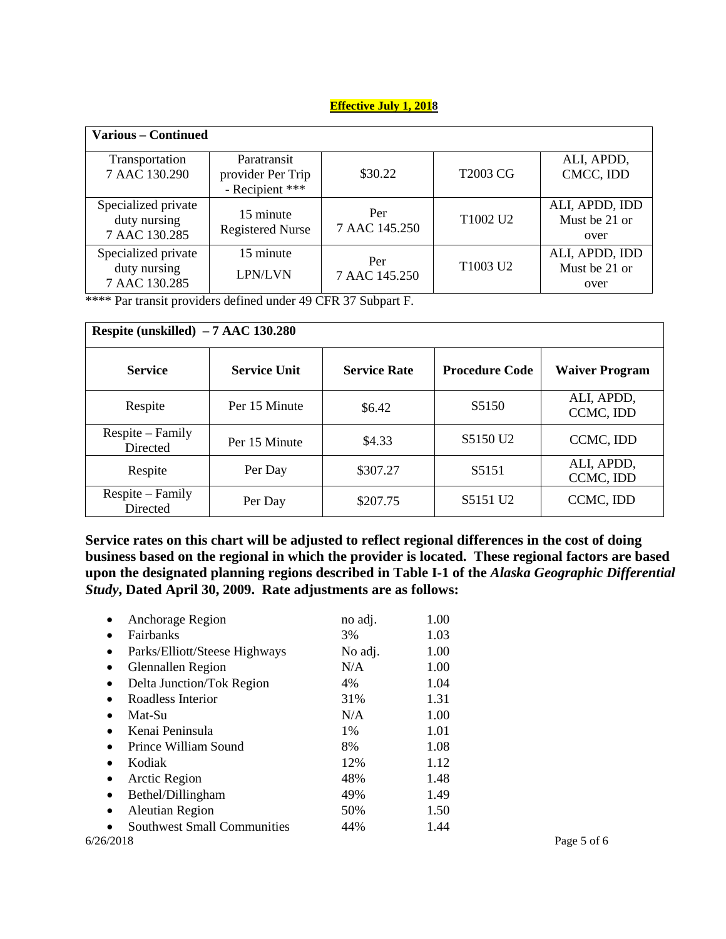| <b>Various – Continued</b>                           |                                                     |                      |                 |                                         |
|------------------------------------------------------|-----------------------------------------------------|----------------------|-----------------|-----------------------------------------|
| Transportation<br>7 AAC 130.290                      | Paratransit<br>provider Per Trip<br>- Recipient *** | \$30.22              | <b>T2003 CG</b> | ALI, APDD,<br>CMCC, IDD                 |
| Specialized private<br>duty nursing<br>7 AAC 130.285 | 15 minute<br><b>Registered Nurse</b>                | Per<br>7 AAC 145.250 | T1002 U2        | ALI, APDD, IDD<br>Must be 21 or<br>over |
| Specialized private<br>duty nursing<br>7 AAC 130.285 | 15 minute<br><b>LPN/LVN</b>                         | Per<br>7 AAC 145.250 | T1003 U2        | ALI, APDD, IDD<br>Must be 21 or<br>over |

\*\*\*\* Par transit providers defined under 49 CFR 37 Subpart F.

| Respite (unskilled) $-7$ AAC 130.280 |                     |                     |                       |                         |
|--------------------------------------|---------------------|---------------------|-----------------------|-------------------------|
| <b>Service</b>                       | <b>Service Unit</b> | <b>Service Rate</b> | <b>Procedure Code</b> | <b>Waiver Program</b>   |
| Respite                              | Per 15 Minute       | \$6.42              | S <sub>5</sub> 150    | ALI, APDD,<br>CCMC, IDD |
| Respite – Family<br>Directed         | Per 15 Minute       | \$4.33              | S5150 U <sub>2</sub>  | CCMC, IDD               |
| Respite                              | Per Day             | \$307.27            | S <sub>5</sub> 151    | ALI, APDD,<br>CCMC, IDD |
| Respite – Family<br>Directed         | Per Day             | \$207.75            | S5151 U <sub>2</sub>  | CCMC, IDD               |

**Service rates on this chart will be adjusted to reflect regional differences in the cost of doing business based on the regional in which the provider is located. These regional factors are based upon the designated planning regions described in Table I-1 of the** *Alaska Geographic Differential Study***, Dated April 30, 2009. Rate adjustments are as follows:** 

| Anchorage Region<br>$\bullet$                   | no adj. | 1.00 |             |
|-------------------------------------------------|---------|------|-------------|
| <b>Fairbanks</b><br>٠                           | 3%      | 1.03 |             |
| Parks/Elliott/Steese Highways<br>$\bullet$      | No adj. | 1.00 |             |
| Glennallen Region<br>$\bullet$                  | N/A     | 1.00 |             |
| Delta Junction/Tok Region<br>$\bullet$          | 4%      | 1.04 |             |
| Roadless Interior<br>$\bullet$                  | 31%     | 1.31 |             |
| Mat-Su                                          | N/A     | 1.00 |             |
| Kenai Peninsula<br>$\bullet$                    | 1%      | 1.01 |             |
| Prince William Sound                            | 8%      | 1.08 |             |
| Kodiak<br>$\bullet$                             | 12%     | 1.12 |             |
| Arctic Region<br>٠                              | 48%     | 1.48 |             |
| Bethel/Dillingham<br>٠                          | 49%     | 1.49 |             |
| <b>Aleutian Region</b><br>٠                     | 50%     | 1.50 |             |
| <b>Southwest Small Communities</b><br>$\bullet$ | 44%     | 1.44 |             |
| 6/26/2018                                       |         |      | Page 5 of 6 |